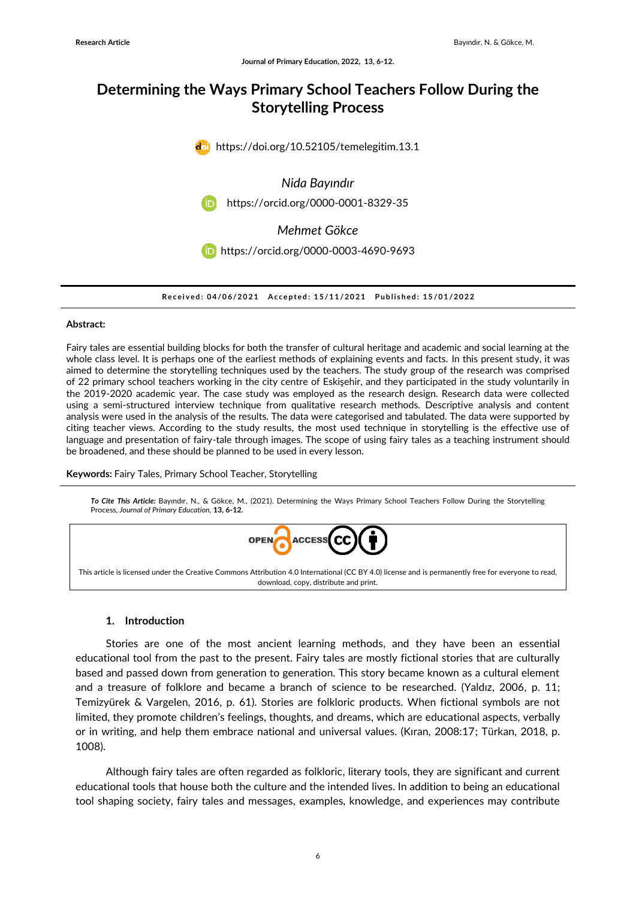# **Determining the Ways Primary School Teachers Follow During the Storytelling Process**



**R e c e i v e d : 0 4/0 6/ 2 0 2 1 A c c e p t e d : 1 5 /1 1 / 2 0 2 1 P u b l i s h e d : 1 5 /0 1 / 2 0 2 2**

#### **Abstract:**

Fairy tales are essential building blocks for both the transfer of cultural heritage and academic and social learning at the whole class level. It is perhaps one of the earliest methods of explaining events and facts. In this present study, it was aimed to determine the storytelling techniques used by the teachers. The study group of the research was comprised of 22 primary school teachers working in the city centre of Eskişehir, and they participated in the study voluntarily in the 2019-2020 academic year. The case study was employed as the research design. Research data were collected using a semi-structured interview technique from qualitative research methods. Descriptive analysis and content analysis were used in the analysis of the results. The data were categorised and tabulated. The data were supported by citing teacher views. According to the study results, the most used technique in storytelling is the effective use of language and presentation of fairy-tale through images. The scope of using fairy tales as a teaching instrument should be broadened, and these should be planned to be used in every lesson.

**Keywords:** Fairy Tales, Primary School Teacher, Storytelling

*To Cite This Article:* Bayındır, N., & Gökce, M., (2021). Determining the Ways Primary School Teachers Follow During the Storytelling Process, *Journal of Primary Education,* **13, 6-12.** OPEN **ACCESS** This article is licensed under the Creative Commons Attribution 4.0 International (CC BY 4.0) license and is permanently free for everyone to read, download, copy, distribute and print.

#### **1. Introduction**

Stories are one of the most ancient learning methods, and they have been an essential educational tool from the past to the present. Fairy tales are mostly fictional stories that are culturally based and passed down from generation to generation. This story became known as a cultural element and a treasure of folklore and became a branch of science to be researched. (Yaldız, 2006, p. 11; Temizyürek & Vargelen, 2016, p. 61). Stories are folkloric products. When fictional symbols are not limited, they promote children's feelings, thoughts, and dreams, which are educational aspects, verbally or in writing, and help them embrace national and universal values. (Kıran, 2008:17; Türkan, 2018, p. 1008).

Although fairy tales are often regarded as folkloric, literary tools, they are significant and current educational tools that house both the culture and the intended lives. In addition to being an educational tool shaping society, fairy tales and messages, examples, knowledge, and experiences may contribute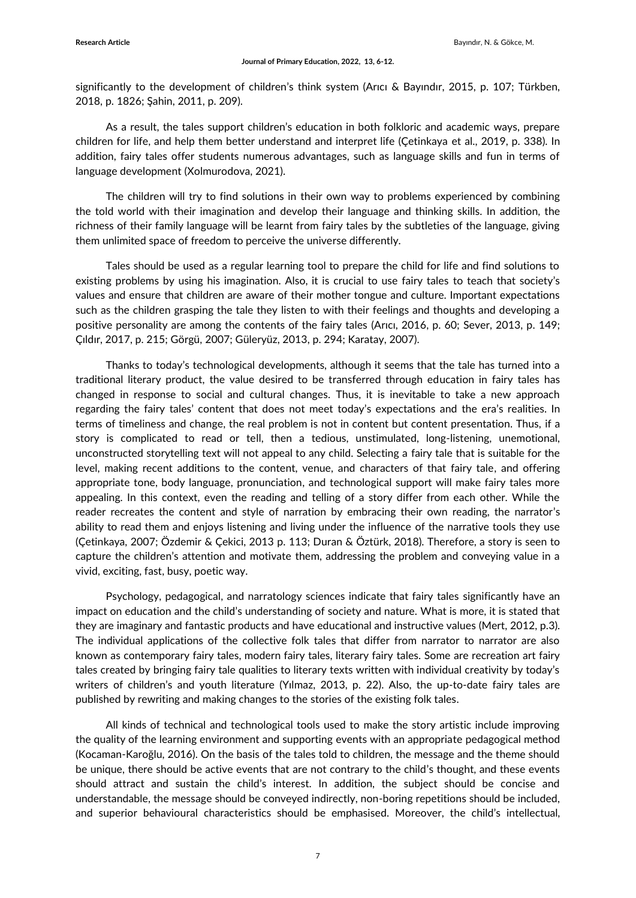significantly to the development of children's think system (Arıcı & Bayındır, 2015, p. 107; Türkben, 2018, p. 1826; Şahin, 2011, p. 209).

As a result, the tales support children's education in both folkloric and academic ways, prepare children for life, and help them better understand and interpret life (Çetinkaya et al., 2019, p. 338). In addition, fairy tales offer students numerous advantages, such as language skills and fun in terms of language development (Xolmurodova, 2021).

The children will try to find solutions in their own way to problems experienced by combining the told world with their imagination and develop their language and thinking skills. In addition, the richness of their family language will be learnt from fairy tales by the subtleties of the language, giving them unlimited space of freedom to perceive the universe differently.

Tales should be used as a regular learning tool to prepare the child for life and find solutions to existing problems by using his imagination. Also, it is crucial to use fairy tales to teach that society's values and ensure that children are aware of their mother tongue and culture. Important expectations such as the children grasping the tale they listen to with their feelings and thoughts and developing a positive personality are among the contents of the fairy tales (Arıcı, 2016, p. 60; Sever, 2013, p. 149; Çıldır, 2017, p. 215; Görgü, 2007; Güleryüz, 2013, p. 294; Karatay, 2007).

Thanks to today's technological developments, although it seems that the tale has turned into a traditional literary product, the value desired to be transferred through education in fairy tales has changed in response to social and cultural changes. Thus, it is inevitable to take a new approach regarding the fairy tales' content that does not meet today's expectations and the era's realities. In terms of timeliness and change, the real problem is not in content but content presentation. Thus, if a story is complicated to read or tell, then a tedious, unstimulated, long-listening, unemotional, unconstructed storytelling text will not appeal to any child. Selecting a fairy tale that is suitable for the level, making recent additions to the content, venue, and characters of that fairy tale, and offering appropriate tone, body language, pronunciation, and technological support will make fairy tales more appealing. In this context, even the reading and telling of a story differ from each other. While the reader recreates the content and style of narration by embracing their own reading, the narrator's ability to read them and enjoys listening and living under the influence of the narrative tools they use (Çetinkaya, 2007; Özdemir & Çekici, 2013 p. 113; Duran & Öztürk, 2018). Therefore, a story is seen to capture the children's attention and motivate them, addressing the problem and conveying value in a vivid, exciting, fast, busy, poetic way.

Psychology, pedagogical, and narratology sciences indicate that fairy tales significantly have an impact on education and the child's understanding of society and nature. What is more, it is stated that they are imaginary and fantastic products and have educational and instructive values (Mert, 2012, p.3). The individual applications of the collective folk tales that differ from narrator to narrator are also known as contemporary fairy tales, modern fairy tales, literary fairy tales. Some are recreation art fairy tales created by bringing fairy tale qualities to literary texts written with individual creativity by today's writers of children's and youth literature (Yılmaz, 2013, p. 22). Also, the up-to-date fairy tales are published by rewriting and making changes to the stories of the existing folk tales.

All kinds of technical and technological tools used to make the story artistic include improving the quality of the learning environment and supporting events with an appropriate pedagogical method (Kocaman-Karoğlu, 2016). On the basis of the tales told to children, the message and the theme should be unique, there should be active events that are not contrary to the child's thought, and these events should attract and sustain the child's interest. In addition, the subject should be concise and understandable, the message should be conveyed indirectly, non-boring repetitions should be included, and superior behavioural characteristics should be emphasised. Moreover, the child's intellectual,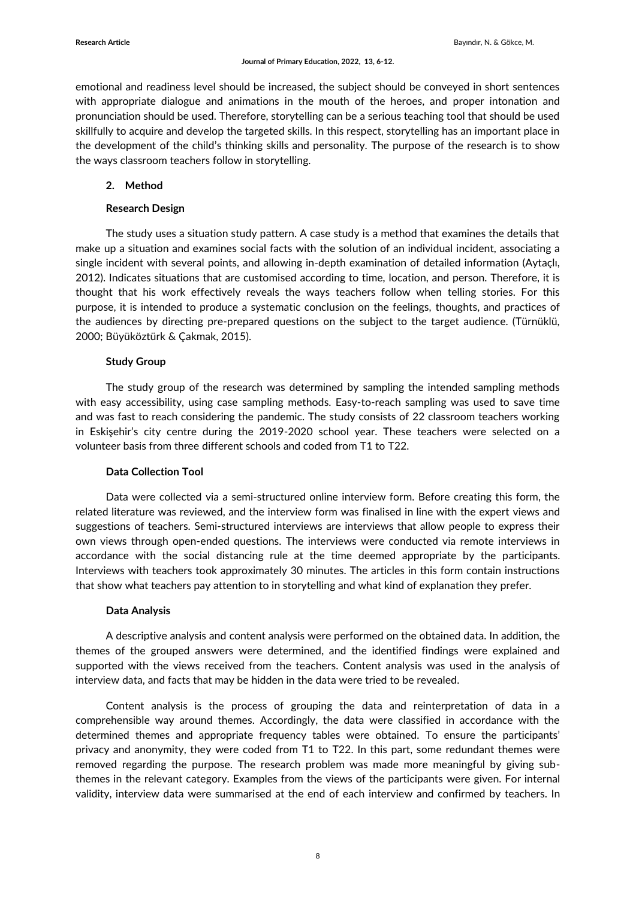emotional and readiness level should be increased, the subject should be conveyed in short sentences with appropriate dialogue and animations in the mouth of the heroes, and proper intonation and pronunciation should be used. Therefore, storytelling can be a serious teaching tool that should be used skillfully to acquire and develop the targeted skills. In this respect, storytelling has an important place in the development of the child's thinking skills and personality. The purpose of the research is to show the ways classroom teachers follow in storytelling.

# **2. Method**

## **Research Design**

The study uses a situation study pattern. A case study is a method that examines the details that make up a situation and examines social facts with the solution of an individual incident, associating a single incident with several points, and allowing in-depth examination of detailed information (Aytaçlı, 2012). Indicates situations that are customised according to time, location, and person. Therefore, it is thought that his work effectively reveals the ways teachers follow when telling stories. For this purpose, it is intended to produce a systematic conclusion on the feelings, thoughts, and practices of the audiences by directing pre-prepared questions on the subject to the target audience. (Türnüklü, 2000; Büyüköztürk & Çakmak, 2015).

# **Study Group**

The study group of the research was determined by sampling the intended sampling methods with easy accessibility, using case sampling methods. Easy-to-reach sampling was used to save time and was fast to reach considering the pandemic. The study consists of 22 classroom teachers working in Eskişehir's city centre during the 2019-2020 school year. These teachers were selected on a volunteer basis from three different schools and coded from T1 to T22.

## **Data Collection Tool**

Data were collected via a semi-structured online interview form. Before creating this form, the related literature was reviewed, and the interview form was finalised in line with the expert views and suggestions of teachers. Semi-structured interviews are interviews that allow people to express their own views through open-ended questions. The interviews were conducted via remote interviews in accordance with the social distancing rule at the time deemed appropriate by the participants. Interviews with teachers took approximately 30 minutes. The articles in this form contain instructions that show what teachers pay attention to in storytelling and what kind of explanation they prefer.

## **Data Analysis**

A descriptive analysis and content analysis were performed on the obtained data. In addition, the themes of the grouped answers were determined, and the identified findings were explained and supported with the views received from the teachers. Content analysis was used in the analysis of interview data, and facts that may be hidden in the data were tried to be revealed.

Content analysis is the process of grouping the data and reinterpretation of data in a comprehensible way around themes. Accordingly, the data were classified in accordance with the determined themes and appropriate frequency tables were obtained. To ensure the participants' privacy and anonymity, they were coded from T1 to T22. In this part, some redundant themes were removed regarding the purpose. The research problem was made more meaningful by giving subthemes in the relevant category. Examples from the views of the participants were given. For internal validity, interview data were summarised at the end of each interview and confirmed by teachers. In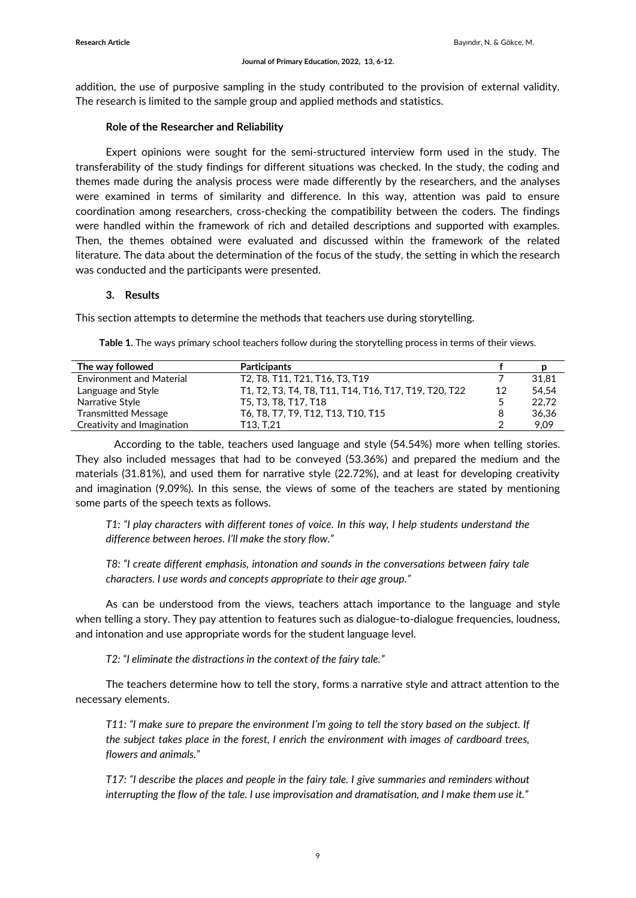addition, the use of purposive sampling in the study contributed to the provision of external validity. The research is limited to the sample group and applied methods and statistics.

### **Role of the Researcher and Reliability**

Expert opinions were sought for the semi-structured interview form used in the study. The transferability of the study findings for different situations was checked. In the study, the coding and themes made during the analysis process were made differently by the researchers, and the analyses were examined in terms of similarity and difference. In this way, attention was paid to ensure coordination among researchers, cross-checking the compatibility between the coders. The findings were handled within the framework of rich and detailed descriptions and supported with examples. Then, the themes obtained were evaluated and discussed within the framework of the related literature. The data about the determination of the focus of the study, the setting in which the research was conducted and the participants were presented.

### **3. Results**

This section attempts to determine the methods that teachers use during storytelling.

| The way followed                | <b>Participants</b>                                   |    |       |
|---------------------------------|-------------------------------------------------------|----|-------|
| <b>Environment and Material</b> | T2, T8, T11, T21, T16, T3, T19                        |    | 31.81 |
| Language and Style              | T1, T2, T3, T4, T8, T11, T14, T16, T17, T19, T20, T22 | 12 | 54.54 |
| Narrative Style                 | T5, T3, T8, T17, T18                                  |    | 22.72 |
| <b>Transmitted Message</b>      | T6, T8, T7, T9, T12, T13, T10, T15                    | 8  | 36,36 |
| Creativity and Imagination      | T13. T.21                                             |    | 9.09  |

**Table 1.** The ways primary school teachers follow during the storytelling process in terms of their views.

According to the table, teachers used language and style (54.54%) more when telling stories. They also included messages that had to be conveyed (53.36%) and prepared the medium and the materials (31.81%), and used them for narrative style (22.72%), and at least for developing creativity and imagination (9.09%). In this sense, the views of some of the teachers are stated by mentioning some parts of the speech texts as follows.

*T1: "I play characters with different tones of voice. In this way, I help students understand the difference between heroes. I'll make the story flow."*

*T8: "I create different emphasis, intonation and sounds in the conversations between fairy tale characters. I use words and concepts appropriate to their age group."*

As can be understood from the views, teachers attach importance to the language and style when telling a story. They pay attention to features such as dialogue-to-dialogue frequencies, loudness, and intonation and use appropriate words for the student language level.

*T2: "I eliminate the distractions in the context of the fairy tale."*

The teachers determine how to tell the story, forms a narrative style and attract attention to the necessary elements.

*T11: "I make sure to prepare the environment I'm going to tell the story based on the subject. If the subject takes place in the forest, I enrich the environment with images of cardboard trees, flowers and animals."*

*T17: "I describe the places and people in the fairy tale. I give summaries and reminders without interrupting the flow of the tale. I use improvisation and dramatisation, and I make them use it."*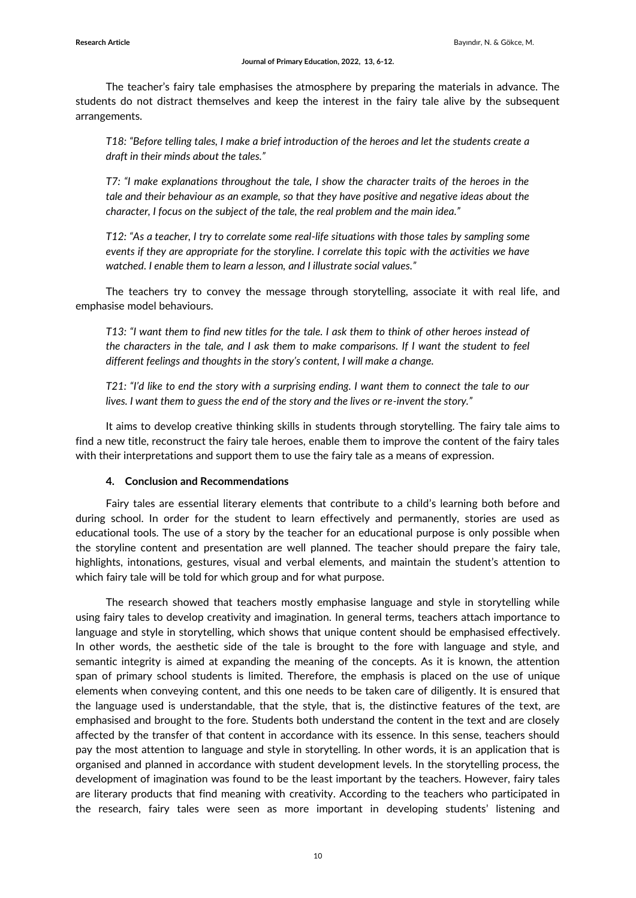The teacher's fairy tale emphasises the atmosphere by preparing the materials in advance. The students do not distract themselves and keep the interest in the fairy tale alive by the subsequent arrangements.

*T18: "Before telling tales, I make a brief introduction of the heroes and let the students create a draft in their minds about the tales."*

*T7: "I make explanations throughout the tale, I show the character traits of the heroes in the tale and their behaviour as an example, so that they have positive and negative ideas about the character, I focus on the subject of the tale, the real problem and the main idea."*

*T12: "As a teacher, I try to correlate some real-life situations with those tales by sampling some events if they are appropriate for the storyline. I correlate this topic with the activities we have watched. I enable them to learn a lesson, and I illustrate social values."*

The teachers try to convey the message through storytelling, associate it with real life, and emphasise model behaviours.

*T13: "I want them to find new titles for the tale. I ask them to think of other heroes instead of the characters in the tale, and I ask them to make comparisons. If I want the student to feel different feelings and thoughts in the story's content, I will make a change.* 

*T21: "I'd like to end the story with a surprising ending. I want them to connect the tale to our lives. I want them to guess the end of the story and the lives or re-invent the story."*

It aims to develop creative thinking skills in students through storytelling. The fairy tale aims to find a new title, reconstruct the fairy tale heroes, enable them to improve the content of the fairy tales with their interpretations and support them to use the fairy tale as a means of expression.

#### **4. Conclusion and Recommendations**

Fairy tales are essential literary elements that contribute to a child's learning both before and during school. In order for the student to learn effectively and permanently, stories are used as educational tools. The use of a story by the teacher for an educational purpose is only possible when the storyline content and presentation are well planned. The teacher should prepare the fairy tale, highlights, intonations, gestures, visual and verbal elements, and maintain the student's attention to which fairy tale will be told for which group and for what purpose.

The research showed that teachers mostly emphasise language and style in storytelling while using fairy tales to develop creativity and imagination. In general terms, teachers attach importance to language and style in storytelling, which shows that unique content should be emphasised effectively. In other words, the aesthetic side of the tale is brought to the fore with language and style, and semantic integrity is aimed at expanding the meaning of the concepts. As it is known, the attention span of primary school students is limited. Therefore, the emphasis is placed on the use of unique elements when conveying content, and this one needs to be taken care of diligently. It is ensured that the language used is understandable, that the style, that is, the distinctive features of the text, are emphasised and brought to the fore. Students both understand the content in the text and are closely affected by the transfer of that content in accordance with its essence. In this sense, teachers should pay the most attention to language and style in storytelling. In other words, it is an application that is organised and planned in accordance with student development levels. In the storytelling process, the development of imagination was found to be the least important by the teachers. However, fairy tales are literary products that find meaning with creativity. According to the teachers who participated in the research, fairy tales were seen as more important in developing students' listening and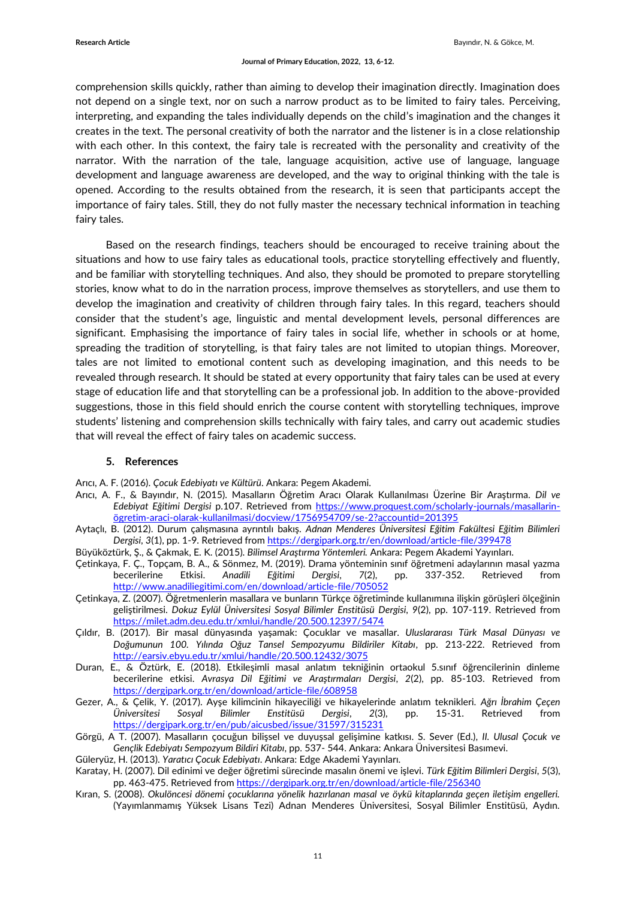comprehension skills quickly, rather than aiming to develop their imagination directly. Imagination does not depend on a single text, nor on such a narrow product as to be limited to fairy tales. Perceiving, interpreting, and expanding the tales individually depends on the child's imagination and the changes it creates in the text. The personal creativity of both the narrator and the listener is in a close relationship with each other. In this context, the fairy tale is recreated with the personality and creativity of the narrator. With the narration of the tale, language acquisition, active use of language, language development and language awareness are developed, and the way to original thinking with the tale is opened. According to the results obtained from the research, it is seen that participants accept the importance of fairy tales. Still, they do not fully master the necessary technical information in teaching fairy tales.

Based on the research findings, teachers should be encouraged to receive training about the situations and how to use fairy tales as educational tools, practice storytelling effectively and fluently, and be familiar with storytelling techniques. And also, they should be promoted to prepare storytelling stories, know what to do in the narration process, improve themselves as storytellers, and use them to develop the imagination and creativity of children through fairy tales. In this regard, teachers should consider that the student's age, linguistic and mental development levels, personal differences are significant. Emphasising the importance of fairy tales in social life, whether in schools or at home, spreading the tradition of storytelling, is that fairy tales are not limited to utopian things. Moreover, tales are not limited to emotional content such as developing imagination, and this needs to be revealed through research. It should be stated at every opportunity that fairy tales can be used at every stage of education life and that storytelling can be a professional job. In addition to the above-provided suggestions, those in this field should enrich the course content with storytelling techniques, improve students' listening and comprehension skills technically with fairy tales, and carry out academic studies that will reveal the effect of fairy tales on academic success.

#### **5. References**

Arıcı, A. F. (2016). *Çocuk Edebiyatı ve Kültürü*. Ankara: Pegem Akademi.

- Arıcı, A. F., & Bayındır, N. (2015). Masalların Öğretim Aracı Olarak Kullanılması Üzerine Bir Araştırma. *Dil ve Edebiyat Eğitimi Dergisi* p.107. Retrieved from [https://www.proquest.com/scholarly-journals/masallarin](https://www.proquest.com/scholarly-journals/masallarin-ögretim-araci-olarak-kullanilmasi/docview/1756954709/se-2?accountid=201395)ögretim[-araci-olarak-kullanilmasi/docview/1756954709/se-2?accountid=201395](https://www.proquest.com/scholarly-journals/masallarin-ögretim-araci-olarak-kullanilmasi/docview/1756954709/se-2?accountid=201395)
- Aytaçlı, B. (2012). Durum çalışmasına ayrıntılı bakış. *Adnan Menderes Üniversitesi Eğitim Fakültesi Eğitim Bilimleri Dergisi*, *3*(1), pp. 1-9. Retrieved fro[m https://dergipark.org.tr/en/download/article-file/399478](https://dergipark.org.tr/en/download/article-file/399478)
- Büyüköztürk, Ş., & Çakmak, E. K. (2015). *Bilimsel Araştırma Yöntemleri.* Ankara: Pegem Akademi Yayınları.
- Çetinkaya, F. Ç., Topçam, B. A., & Sönmez, M. (2019). Drama yönteminin sınıf öğretmeni adaylarının masal yazma becerilerine Etkisi. *Anadili Eğitimi Dergisi*, *7*(2), pp. 337-352. Retrieved from <http://www.anadiliegitimi.com/en/download/article-file/705052>
- Çetinkaya, Z. (2007). Öğretmenlerin masallara ve bunların Türkçe öğretiminde kullanımına ilişkin görüşleri ölçeğinin geliştirilmesi. *Dokuz Eylül Üniversitesi Sosyal Bilimler Enstitüsü Dergisi*, *9*(2), pp. 107-119. Retrieved from <https://milet.adm.deu.edu.tr/xmlui/handle/20.500.12397/5474>
- Çıldır, B. (2017). Bir masal dünyasında yaşamak: Çocuklar ve masallar. *Uluslararası Türk Masal Dünyası ve Doğumunun 100. Yılında Oğuz Tansel Sempozyumu Bildiriler Kitabı*, pp. 213-222. Retrieved from <http://earsiv.ebyu.edu.tr/xmlui/handle/20.500.12432/3075>
- Duran, E., & Öztürk, E. (2018). Etkileşimli masal anlatım tekniğinin ortaokul 5.sınıf öğrencilerinin dinleme becerilerine etkisi. *Avrasya Dil Eğitimi ve Araştırmaları Dergisi*, *2*(2), pp. 85-103. Retrieved from <https://dergipark.org.tr/en/download/article-file/608958>
- Gezer, A., & Çelik, Y. (2017). Ayşe kilimcinin hikayeciliği ve hikayelerinde anlatım teknikleri. *Ağrı İbrahim Çeçen Üniversitesi Sosyal Bilimler Enstitüsü Dergisi*, *2*(3), pp. 15-31. Retrieved from <https://dergipark.org.tr/en/pub/aicusbed/issue/31597/315231>
- Görgü, A T. (2007). Masalların çocuğun bilişsel ve duyuşsal gelişimine katkısı. S. Sever (Ed.), *II. Ulusal Çocuk ve Gençlik Edebiyatı Sempozyum Bildiri Kitabı*, pp. 537- 544. Ankara: Ankara Üniversitesi Basımevi.
- Güleryüz, H. (2013). *Yaratıcı Çocuk Edebiyatı*. Ankara: Edge Akademi Yayınları.
- Karatay, H. (2007). Dil edinimi ve değer öğretimi sürecinde masalın önemi ve işlevi. *Türk Eğitim Bilimleri Dergisi*, *5*(3), pp. 463-475. Retrieved fro[m https://dergipark.org.tr/en/download/article-file/256340](https://dergipark.org.tr/en/download/article-file/256340)
- Kıran, S. (2008). *Okulöncesi dönemi çocuklarına yönelik hazırlanan masal ve öykü kitaplarında geçen iletişim engelleri.* (Yayımlanmamış Yüksek Lisans Tezi) Adnan Menderes Üniversitesi, Sosyal Bilimler Enstitüsü, Aydın.